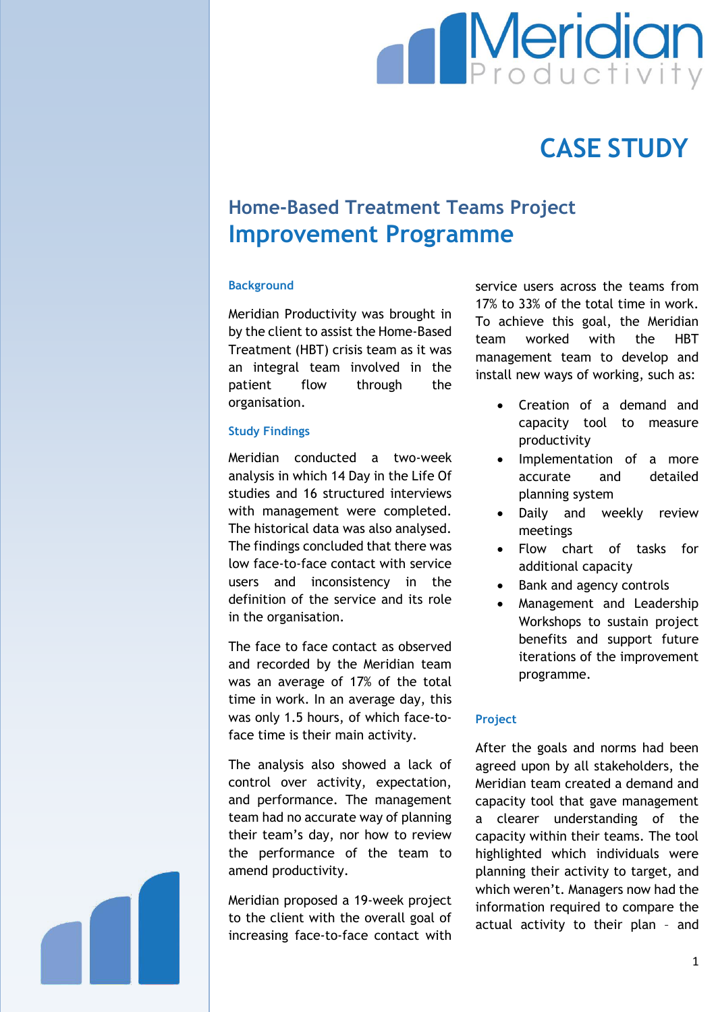

# **CASE STUDY**

## **Home-Based Treatment Teams Project Improvement Programme**

### **Background**

Meridian Productivity was brought in by the client to assist the Home-Based Treatment (HBT) crisis team as it was an integral team involved in the patient flow through the organisation.

### **Study Findings**

Meridian conducted a two-week analysis in which 14 Day in the Life Of studies and 16 structured interviews with management were completed. The historical data was also analysed. The findings concluded that there was low face-to-face contact with service users and inconsistency in the definition of the service and its role in the organisation.

The face to face contact as observed and recorded by the Meridian team was an average of 17% of the total time in work. In an average day, this was only 1.5 hours, of which face-toface time is their main activity.

The analysis also showed a lack of control over activity, expectation, and performance. The management team had no accurate way of planning their team's day, nor how to review the performance of the team to amend productivity.

Meridian proposed a 19-week project to the client with the overall goal of increasing face-to-face contact with

service users across the teams from 17% to 33% of the total time in work. To achieve this goal, the Meridian team worked with the HBT management team to develop and install new ways of working, such as:

- Creation of a demand and capacity tool to measure productivity
- Implementation of a more accurate and detailed planning system
- Daily and weekly review meetings
- Flow chart of tasks for additional capacity
- Bank and agency controls
- Management and Leadership Workshops to sustain project benefits and support future iterations of the improvement programme.

#### **Project**

After the goals and norms had been agreed upon by all stakeholders, the Meridian team created a demand and capacity tool that gave management a clearer understanding of the capacity within their teams. The tool highlighted which individuals were planning their activity to target, and which weren't. Managers now had the information required to compare the actual activity to their plan – and

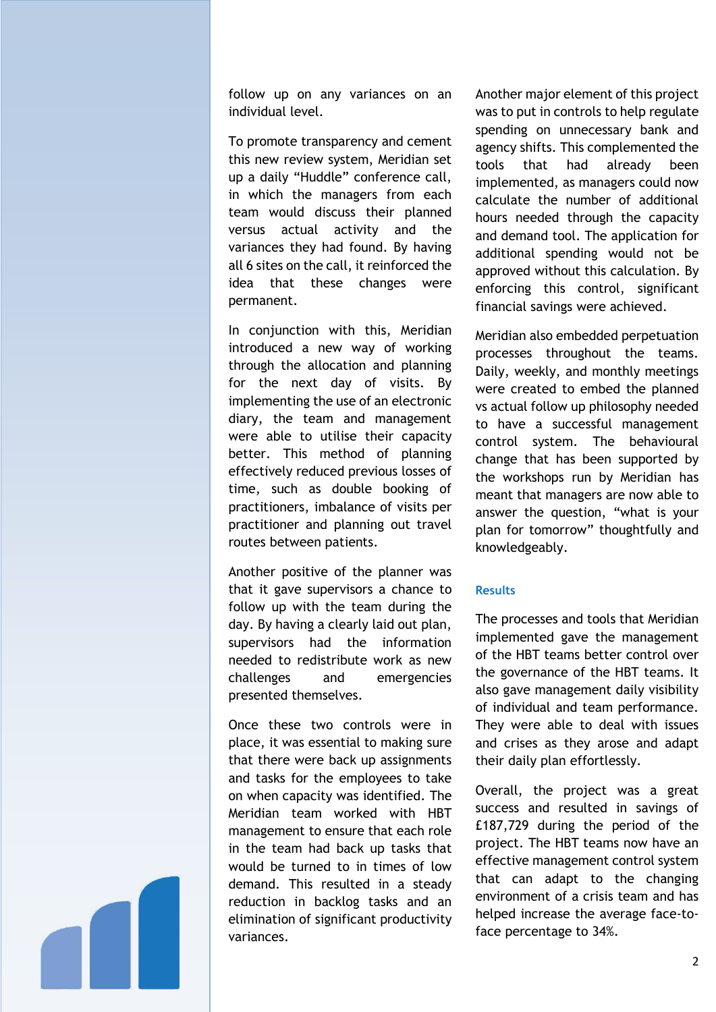follow up on any variances on an individual level.

To promote transparency and cement this new review system, Meridian set up a daily "Huddle" conference call, in which the managers from each team would discuss their planned versus actual activity and the variances they had found. By having all 6 sites on the call, it reinforced the idea that these changes were permanent.

In conjunction with this, Meridian introduced a new way of working through the allocation and planning for the next day of visits. By implementing the use of an electronic diary, the team and management were able to utilise their capacity better. This method of planning effectively reduced previous losses of time, such as double booking of practitioners, imbalance of visits per practitioner and planning out travel routes between patients.

Another positive of the planner was that it gave supervisors a chance to follow up with the team during the day. By having a clearly laid out plan, supervisors had the information needed to redistribute work as new challenges and emergencies presented themselves.

Once these two controls were in place, it was essential to making sure that there were back up assignments and tasks for the employees to take on when capacity was identified. The Meridian team worked with HBT management to ensure that each role in the team had back up tasks that would be turned to in times of low demand. This resulted in a steady reduction in backlog tasks and an elimination of significant productivity variances.

Another major element of this project was to put in controls to help regulate spending on unnecessary bank and agency shifts. This complemented the tools that had already been implemented, as managers could now calculate the number of additional hours needed through the capacity and demand tool. The application for additional spending would not be approved without this calculation. By enforcing this control, significant financial savings were achieved.

Meridian also embedded perpetuation processes throughout the teams. Daily, weekly, and monthly meetings were created to embed the planned vs actual follow up philosophy needed to have a successful management control system. The behavioural change that has been supported by the workshops run by Meridian has meant that managers are now able to answer the question, "what is your plan for tomorrow" thoughtfully and knowledgeably.

#### **Results**

The processes and tools that Meridian implemented gave the management of the HBT teams better control over the governance of the HBT teams. It also gave management daily visibility of individual and team performance. They were able to deal with issues and crises as they arose and adapt their daily plan effortlessly.

Overall, the project was a great success and resulted in savings of £187,729 during the period of the project. The HBT teams now have an effective management control system that can adapt to the changing environment of a crisis team and has helped increase the average face-toface percentage to 34%.